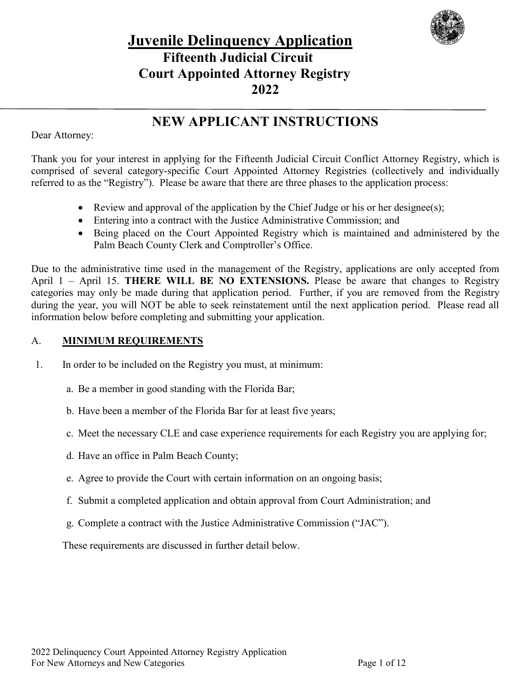

# **Juvenile Delinquency Application Fifteenth Judicial Circuit Court Appointed Attorney Registry 2022**

### **NEW APPLICANT INSTRUCTIONS**

Dear Attorney:

Thank you for your interest in applying for the Fifteenth Judicial Circuit Conflict Attorney Registry, which is comprised of several category-specific Court Appointed Attorney Registries (collectively and individually referred to as the "Registry"). Please be aware that there are three phases to the application process:

- Review and approval of the application by the Chief Judge or his or her designee(s);
- Entering into a contract with the Justice Administrative Commission; and
- Being placed on the Court Appointed Registry which is maintained and administered by the Palm Beach County Clerk and Comptroller's Office.

Due to the administrative time used in the management of the Registry, applications are only accepted from April 1 – April 15. **THERE WILL BE NO EXTENSIONS.** Please be aware that changes to Registry categories may only be made during that application period. Further, if you are removed from the Registry during the year, you will NOT be able to seek reinstatement until the next application period. Please read all information below before completing and submitting your application.

#### A. **MINIMUM REQUIREMENTS**

1. In order to be included on the Registry you must, at minimum:

- a. Be a member in good standing with the Florida Bar;
- b. Have been a member of the Florida Bar for at least five years;
- c. Meet the necessary CLE and case experience requirements for each Registry you are applying for;
- d. Have an office in Palm Beach County;
- e. Agree to provide the Court with certain information on an ongoing basis;
- f. Submit a completed application and obtain approval from Court Administration; and
- g. Complete a contract with the Justice Administrative Commission ("JAC").

These requirements are discussed in further detail below.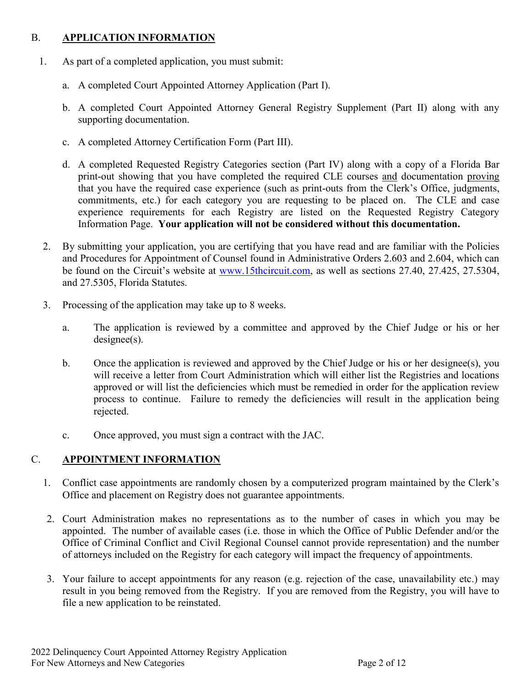#### B. **APPLICATION INFORMATION**

- 1. As part of a completed application, you must submit:
	- a. A completed Court Appointed Attorney Application (Part I).
	- b. A completed Court Appointed Attorney General Registry Supplement (Part II) along with any supporting documentation.
	- c. A completed Attorney Certification Form (Part III).
	- d. A completed Requested Registry Categories section (Part IV) along with a copy of a Florida Bar print-out showing that you have completed the required CLE courses and documentation proving that you have the required case experience (such as print-outs from the Clerk's Office, judgments, commitments, etc.) for each category you are requesting to be placed on. The CLE and case experience requirements for each Registry are listed on the Requested Registry Category Information Page. **Your application will not be considered without this documentation.**
	- 2. By submitting your application, you are certifying that you have read and are familiar with the Policies and Procedures for Appointment of Counsel found in Administrative Orders 2.603 and 2.604, which can be found on the Circuit's website at [www.15thcircuit.com,](http://www.15thcircuit.com/) as well as sections 27.40, 27.425, 27.5304, and 27.5305, Florida Statutes.
	- 3. Processing of the application may take up to 8 weeks.
		- a. The application is reviewed by a committee and approved by the Chief Judge or his or her designee(s).
		- b. Once the application is reviewed and approved by the Chief Judge or his or her designee(s), you will receive a letter from Court Administration which will either list the Registries and locations approved or will list the deficiencies which must be remedied in order for the application review process to continue. Failure to remedy the deficiencies will result in the application being rejected.
		- c. Once approved, you must sign a contract with the JAC.

#### C. **APPOINTMENT INFORMATION**

- 1. Conflict case appointments are randomly chosen by a computerized program maintained by the Clerk's Office and placement on Registry does not guarantee appointments.
- 2. Court Administration makes no representations as to the number of cases in which you may be appointed. The number of available cases (i.e. those in which the Office of Public Defender and/or the Office of Criminal Conflict and Civil Regional Counsel cannot provide representation) and the number of attorneys included on the Registry for each category will impact the frequency of appointments.
- 3. Your failure to accept appointments for any reason (e.g. rejection of the case, unavailability etc.) may result in you being removed from the Registry. If you are removed from the Registry, you will have to file a new application to be reinstated.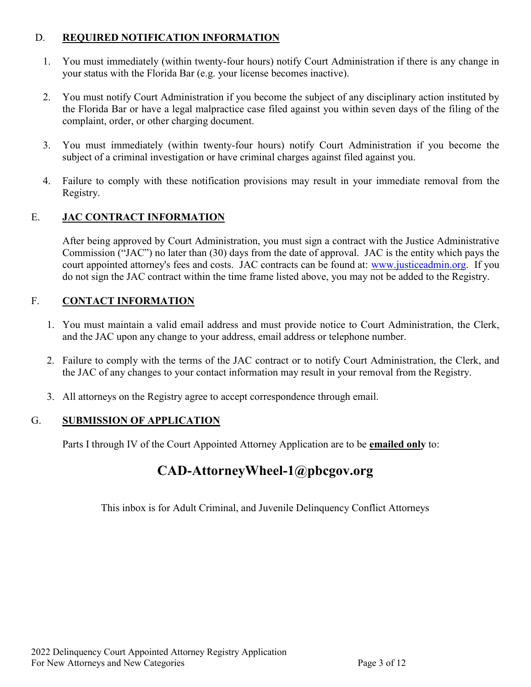#### D. **REQUIRED NOTIFICATION INFORMATION**

- 1. You must immediately (within twenty-four hours) notify Court Administration if there is any change in your status with the Florida Bar (e.g. your license becomes inactive).
- 2. You must notify Court Administration if you become the subject of any disciplinary action instituted by the Florida Bar or have a legal malpractice case filed against you within seven days of the filing of the complaint, order, or other charging document.
- 3. You must immediately (within twenty-four hours) notify Court Administration if you become the subject of a criminal investigation or have criminal charges against filed against you.
- 4. Failure to comply with these notification provisions may result in your immediate removal from the Registry.

#### E. **JAC CONTRACT INFORMATION**

After being approved by Court Administration, you must sign a contract with the Justice Administrative Commission ("JAC") no later than (30) days from the date of approval. JAC is the entity which pays the court appointed attorney's fees and costs. JAC contracts can be found at: [www.justiceadmin.org.](http://www.justiceadmin.org/) If you do not sign the JAC contract within the time frame listed above, you may not be added to the Registry.

#### F. **CONTACT INFORMATION**

- 1. You must maintain a valid email address and must provide notice to Court Administration, the Clerk, and the JAC upon any change to your address, email address or telephone number.
- 2. Failure to comply with the terms of the JAC contract or to notify Court Administration, the Clerk, and the JAC of any changes to your contact information may result in your removal from the Registry.
- 3. All attorneys on the Registry agree to accept correspondence through email.

#### G. **SUBMISSION OF APPLICATION**

Parts I through IV of the Court Appointed Attorney Application are to be **emailed only** to:

### **CAD-AttorneyWheel-1@pbcgov.org**

This inbox is for Adult Criminal, and Juvenile Delinquency Conflict Attorneys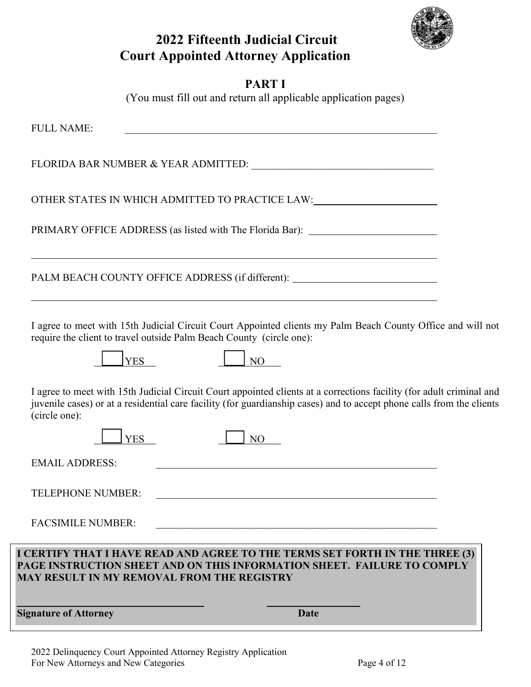

# **2022 Fifteenth Judicial Circuit Court Appointed Attorney Application**

### **PART I**

(You must fill out and return all applicable application pages)

| <b>Signature of Attorney</b>                                                       | Date                                                                                                                                                                                                                                                 |
|------------------------------------------------------------------------------------|------------------------------------------------------------------------------------------------------------------------------------------------------------------------------------------------------------------------------------------------------|
| <b>MAY RESULT IN MY REMOVAL FROM THE REGISTRY</b>                                  | I CERTIFY THAT I HAVE READ AND AGREE TO THE TERMS SET FORTH IN THE THREE (3)<br>PAGE INSTRUCTION SHEET AND ON THIS INFORMATION SHEET. FAILURE TO COMPLY                                                                                              |
| <b>FACSIMILE NUMBER:</b>                                                           |                                                                                                                                                                                                                                                      |
| <b>TELEPHONE NUMBER:</b>                                                           |                                                                                                                                                                                                                                                      |
| <b>EMAIL ADDRESS:</b>                                                              | <u> 1989 - Johann Stoff, amerikansk politiker (d. 1989)</u>                                                                                                                                                                                          |
| (circle one):<br><b>YES</b>                                                        | I agree to meet with 15th Judicial Circuit Court appointed clients at a corrections facility (for adult criminal and<br>juvenile cases) or at a residential care facility (for guardianship cases) and to accept phone calls from the clients<br>NO. |
| require the client to travel outside Palm Beach County (circle one):<br><b>YES</b> | N <sub>O</sub>                                                                                                                                                                                                                                       |
|                                                                                    | I agree to meet with 15th Judicial Circuit Court Appointed clients my Palm Beach County Office and will not                                                                                                                                          |
|                                                                                    | PALM BEACH COUNTY OFFICE ADDRESS (if different): _______________________________                                                                                                                                                                     |
|                                                                                    | PRIMARY OFFICE ADDRESS (as listed with The Florida Bar): _______________________<br>and the control of the control of the control of the control of the control of the control of the control of the                                                 |
|                                                                                    | OTHER STATES IN WHICH ADMITTED TO PRACTICE LAW:                                                                                                                                                                                                      |
|                                                                                    |                                                                                                                                                                                                                                                      |
|                                                                                    |                                                                                                                                                                                                                                                      |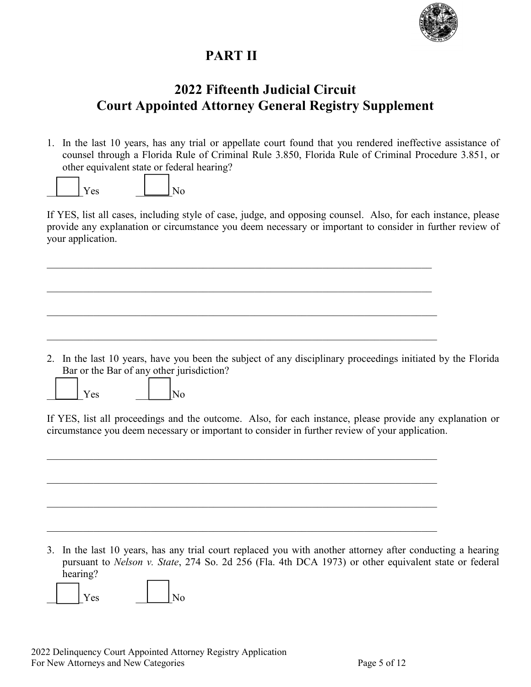

# **PART II**

# **2022 Fifteenth Judicial Circuit Court Appointed Attorney General Registry Supplement**

1. In the last 10 years, has any trial or appellate court found that you rendered ineffective assistance of counsel through a Florida Rule of Criminal Rule 3.850, Florida Rule of Criminal Procedure 3.851, or other equivalent state or federal hearing?



If YES, list all cases, including style of case, judge, and opposing counsel. Also, for each instance, please provide any explanation or circumstance you deem necessary or important to consider in further review of your application.

2. In the last 10 years, have you been the subject of any disciplinary proceedings initiated by the Florida Bar or the Bar of any other jurisdiction?

Yes  $\vert$  No

If YES, list all proceedings and the outcome. Also, for each instance, please provide any explanation or circumstance you deem necessary or important to consider in further review of your application.

 $\mathcal{L}_\mathcal{L} = \mathcal{L}_\mathcal{L} = \mathcal{L}_\mathcal{L} = \mathcal{L}_\mathcal{L} = \mathcal{L}_\mathcal{L} = \mathcal{L}_\mathcal{L} = \mathcal{L}_\mathcal{L} = \mathcal{L}_\mathcal{L} = \mathcal{L}_\mathcal{L} = \mathcal{L}_\mathcal{L} = \mathcal{L}_\mathcal{L} = \mathcal{L}_\mathcal{L} = \mathcal{L}_\mathcal{L} = \mathcal{L}_\mathcal{L} = \mathcal{L}_\mathcal{L} = \mathcal{L}_\mathcal{L} = \mathcal{L}_\mathcal{L}$ 

3. In the last 10 years, has any trial court replaced you with another attorney after conducting a hearing pursuant to *Nelson v. State*, 274 So. 2d 256 (Fla. 4th DCA 1973) or other equivalent state or federal hearing?

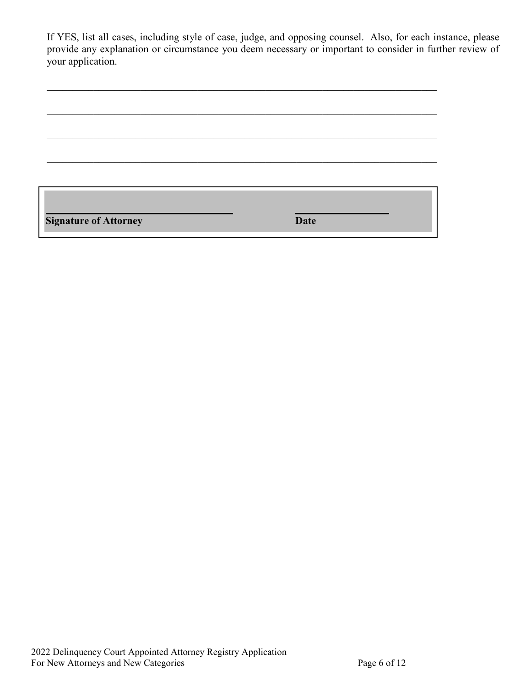If YES, list all cases, including style of case, judge, and opposing counsel. Also, for each instance, please provide any explanation or circumstance you deem necessary or important to consider in further review of your application.

| <b>Signature of Attorney</b> | <b>Date</b> |  |
|------------------------------|-------------|--|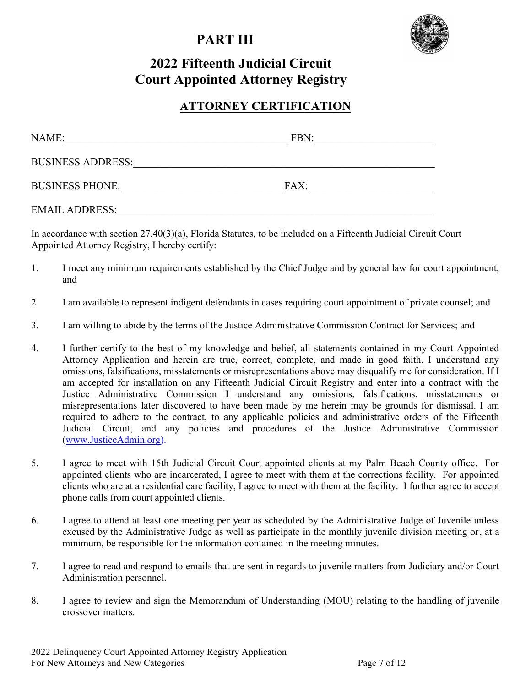# **PART III**



# **2022 Fifteenth Judicial Circuit Court Appointed Attorney Registry**

#### **ATTORNEY CERTIFICATION**

| NAME:                    | FBN: |
|--------------------------|------|
| <b>BUSINESS ADDRESS:</b> |      |
| <b>BUSINESS PHONE:</b>   | FAX: |
| <b>EMAIL ADDRESS:</b>    |      |

In accordance with section 27.40(3)(a), Florida Statutes*,* to be included on a Fifteenth Judicial Circuit Court Appointed Attorney Registry, I hereby certify:

- 1. I meet any minimum requirements established by the Chief Judge and by general law for court appointment; and
- 2 I am available to represent indigent defendants in cases requiring court appointment of private counsel; and
- 3. I am willing to abide by the terms of the Justice Administrative Commission Contract for Services; and
- 4. I further certify to the best of my knowledge and belief, all statements contained in my Court Appointed Attorney Application and herein are true, correct, complete, and made in good faith. I understand any omissions, falsifications, misstatements or misrepresentations above may disqualify me for consideration. If I am accepted for installation on any Fifteenth Judicial Circuit Registry and enter into a contract with the Justice Administrative Commission I understand any omissions, falsifications, misstatements or misrepresentations later discovered to have been made by me herein may be grounds for dismissal. I am required to adhere to the contract, to any applicable policies and administrative orders of the Fifteenth Judicial Circuit, and any policies and procedures of the Justice Administrative Commission [\(www.JusticeAdmin.org\)](http://www.justiceadmin.org/).
- 5. I agree to meet with 15th Judicial Circuit Court appointed clients at my Palm Beach County office. For appointed clients who are incarcerated, I agree to meet with them at the corrections facility. For appointed clients who are at a residential care facility, I agree to meet with them at the facility. I further agree to accept phone calls from court appointed clients.
- 6. I agree to attend at least one meeting per year as scheduled by the Administrative Judge of Juvenile unless excused by the Administrative Judge as well as participate in the monthly juvenile division meeting or, at a minimum, be responsible for the information contained in the meeting minutes.
- 7. I agree to read and respond to emails that are sent in regards to juvenile matters from Judiciary and/or Court Administration personnel.
- 8. I agree to review and sign the Memorandum of Understanding (MOU) relating to the handling of juvenile crossover matters.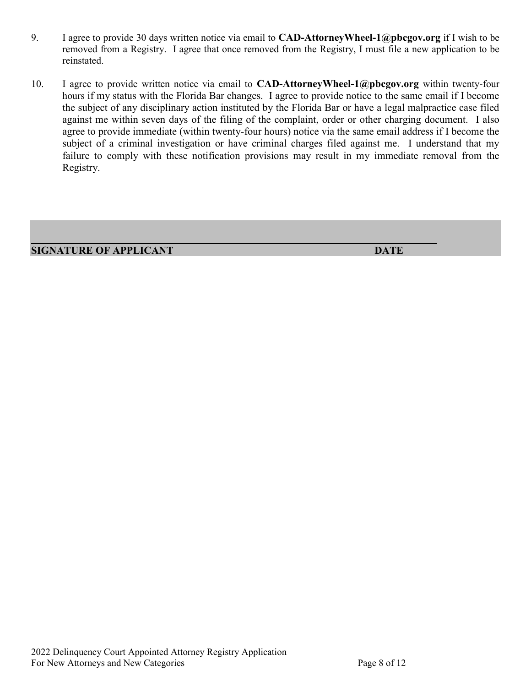- 9. I agree to provide 30 days written notice via email to **CAD-AttorneyWheel-1@pbcgov.org** if I wish to be removed from a Registry. I agree that once removed from the Registry, I must file a new application to be reinstated.
- 10. I agree to provide written notice via email to **CAD-AttorneyWheel-1@pbcgov.org** within twenty-four hours if my status with the Florida Bar changes. I agree to provide notice to the same email if I become the subject of any disciplinary action instituted by the Florida Bar or have a legal malpractice case filed against me within seven days of the filing of the complaint, order or other charging document. I also agree to provide immediate (within twenty-four hours) notice via the same email address if I become the subject of a criminal investigation or have criminal charges filed against me. I understand that my failure to comply with these notification provisions may result in my immediate removal from the Registry.

**SIGNATURE OF APPLICANT DATE**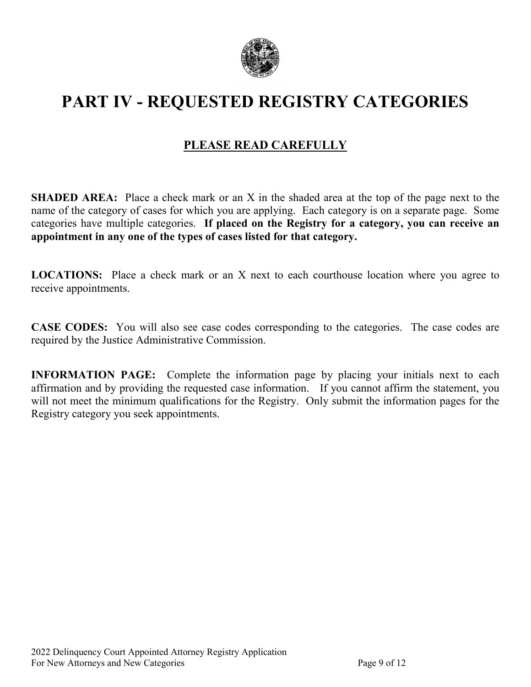

# **PART IV - REQUESTED REGISTRY CATEGORIES**

### **PLEASE READ CAREFULLY**

**SHADED AREA:** Place a check mark or an X in the shaded area at the top of the page next to the name of the category of cases for which you are applying. Each category is on a separate page. Some categories have multiple categories. **If placed on the Registry for a category, you can receive an appointment in any one of the types of cases listed for that category.**

**LOCATIONS:** Place a check mark or an X next to each courthouse location where you agree to receive appointments.

**CASE CODES:** You will also see case codes corresponding to the categories. The case codes are required by the Justice Administrative Commission.

**INFORMATION PAGE:** Complete the information page by placing your initials next to each affirmation and by providing the requested case information. If you cannot affirm the statement, you will not meet the minimum qualifications for the Registry. Only submit the information pages for the Registry category you seek appointments.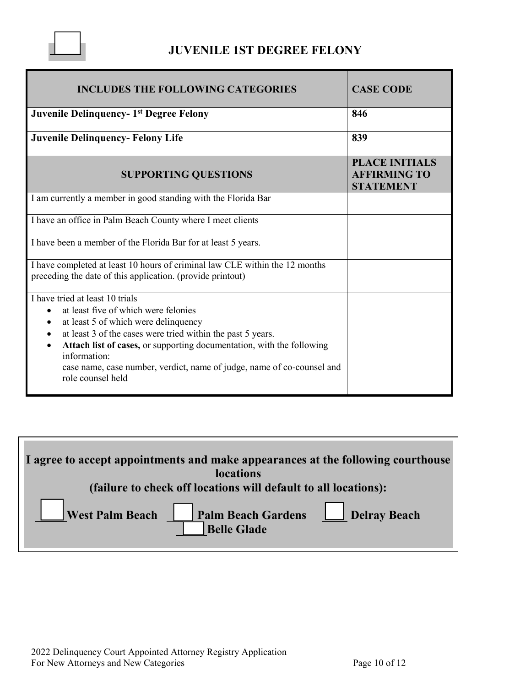

### **JUVENILE 1ST DEGREE FELONY**

| <b>INCLUDES THE FOLLOWING CATEGORIES</b>                                                                                                                                                                                                                                                                                                                                                         | <b>CASE CODE</b>                                                 |
|--------------------------------------------------------------------------------------------------------------------------------------------------------------------------------------------------------------------------------------------------------------------------------------------------------------------------------------------------------------------------------------------------|------------------------------------------------------------------|
| <b>Juvenile Delinquency-1st Degree Felony</b>                                                                                                                                                                                                                                                                                                                                                    | 846                                                              |
| <b>Juvenile Delinquency-Felony Life</b>                                                                                                                                                                                                                                                                                                                                                          | 839                                                              |
| <b>SUPPORTING QUESTIONS</b>                                                                                                                                                                                                                                                                                                                                                                      | <b>PLACE INITIALS</b><br><b>AFFIRMING TO</b><br><b>STATEMENT</b> |
| I am currently a member in good standing with the Florida Bar                                                                                                                                                                                                                                                                                                                                    |                                                                  |
| I have an office in Palm Beach County where I meet clients                                                                                                                                                                                                                                                                                                                                       |                                                                  |
| I have been a member of the Florida Bar for at least 5 years.                                                                                                                                                                                                                                                                                                                                    |                                                                  |
| I have completed at least 10 hours of criminal law CLE within the 12 months<br>preceding the date of this application. (provide printout)                                                                                                                                                                                                                                                        |                                                                  |
| I have tried at least 10 trials<br>at least five of which were felonies<br>$\bullet$<br>at least 5 of which were delinquency<br>at least 3 of the cases were tried within the past 5 years.<br>Attach list of cases, or supporting documentation, with the following<br>$\bullet$<br>information:<br>case name, case number, verdict, name of judge, name of co-counsel and<br>role counsel held |                                                                  |

| I agree to accept appointments and make appearances at the following courthouse<br>locations |  |
|----------------------------------------------------------------------------------------------|--|
| (failure to check off locations will default to all locations):                              |  |
| Palm Beach Gardens <u>Delray Beach</u><br>West Palm Beach<br><b>Belle Glade</b>              |  |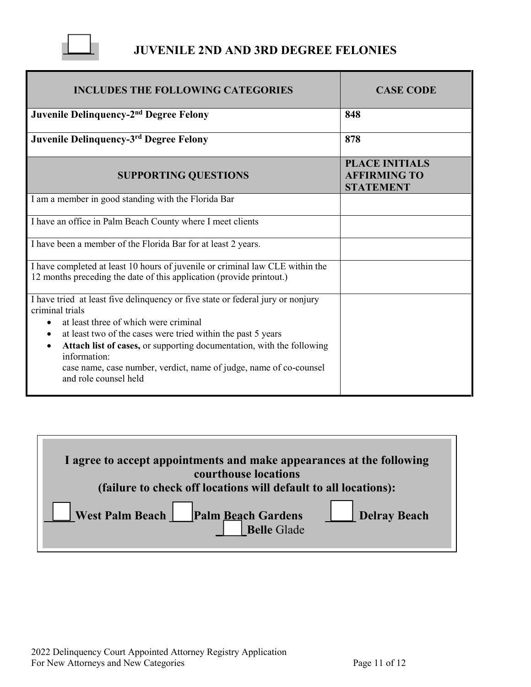

### **JUVENILE 2ND AND 3RD DEGREE FELONIES**

| <b>INCLUDES THE FOLLOWING CATEGORIES</b>                                                                                                              | <b>CASE CODE</b>                                                 |
|-------------------------------------------------------------------------------------------------------------------------------------------------------|------------------------------------------------------------------|
| Juvenile Delinquency-2 <sup>nd</sup> Degree Felony                                                                                                    | 848                                                              |
| Juvenile Delinquency-3rd Degree Felony                                                                                                                | 878                                                              |
| <b>SUPPORTING QUESTIONS</b>                                                                                                                           | <b>PLACE INITIALS</b><br><b>AFFIRMING TO</b><br><b>STATEMENT</b> |
| I am a member in good standing with the Florida Bar                                                                                                   |                                                                  |
| I have an office in Palm Beach County where I meet clients                                                                                            |                                                                  |
| I have been a member of the Florida Bar for at least 2 years.                                                                                         |                                                                  |
| I have completed at least 10 hours of juvenile or criminal law CLE within the<br>12 months preceding the date of this application (provide printout.) |                                                                  |
| I have tried at least five delinquency or five state or federal jury or nonjury<br>criminal trials                                                    |                                                                  |
| at least three of which were criminal                                                                                                                 |                                                                  |
| at least two of the cases were tried within the past 5 years                                                                                          |                                                                  |
| Attach list of cases, or supporting documentation, with the following<br>$\bullet$<br>information:                                                    |                                                                  |
| case name, case number, verdict, name of judge, name of co-counsel<br>and role counsel held                                                           |                                                                  |

| I agree to accept appointments and make appearances at the following<br>courthouse locations |  |
|----------------------------------------------------------------------------------------------|--|
| (failure to check off locations will default to all locations):                              |  |
| <b>Delray Beach</b><br>West Palm Beach Palm Beach Gardens                                    |  |